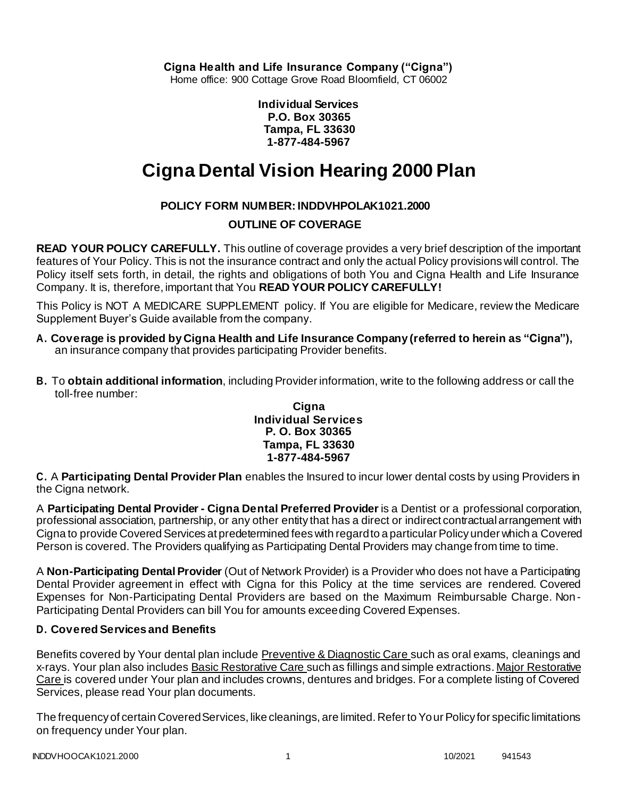**Cigna Health and Life Insurance Company ("Cigna")**

Home office: 900 Cottage Grove Road Bloomfield, CT 06002

**Individual Services P.O. Box 30365 Tampa, FL 33630 1-877-484-5967**

# **Cigna Dental Vision Hearing 2000 Plan**

# **POLICY FORM NUMBER: INDDVHPOLAK1021.2000**

# **OUTLINE OF COVERAGE**

**READ YOUR POLICY CAREFULLY.** This outline of coverage provides a very brief description of the important features of Your Policy. This is not the insurance contract and only the actual Policy provisions will control. The Policy itself sets forth, in detail, the rights and obligations of both You and Cigna Health and Life Insurance Company. It is, therefore, important that You **READ YOUR POLICY CAREFULLY!**

This Policy is NOT A MEDICARE SUPPLEMENT policy. If You are eligible for Medicare, review the Medicare Supplement Buyer's Guide available from the company.

- **A. Coverage is provided by Cigna Health and Life Insurance Company (referred to herein as "Cigna"),** an insurance company that provides participating Provider benefits.
- **B.** To **obtain additional information**, including Provider information, write to the following address or call the toll-free number:

#### **Cigna Individual Services P. O. Box 30365 Tampa, FL 33630 1-877-484-5967**

**C.** A **Participating Dental Provider Plan** enables the Insured to incur lower dental costs by using Providers in the Cigna network.

A **Participating Dental Provider - Cigna Dental Preferred Provider** is a Dentist or a professional corporation, professional association, partnership, or any other entity that has a direct or indirect contractual arrangement with Cigna to provide Covered Services at predetermined fees with regard to a particular Policy under which a Covered Person is covered. The Providers qualifying as Participating Dental Providers may change from time to time.

A **Non-Participating Dental Provider** (Out of Network Provider) is a Provider who does not have a Participating Dental Provider agreement in effect with Cigna for this Policy at the time services are rendered. Covered Expenses for Non-Participating Dental Providers are based on the Maximum Reimbursable Charge. Non-Participating Dental Providers can bill You for amounts exceeding Covered Expenses.

# **D. Covered Services and Benefits**

Benefits covered by Your dental plan include Preventive & Diagnostic Care such as oral exams, cleanings and x-rays. Your plan also includes Basic Restorative Care such as fillings and simple extractions. Major Restorative Care is covered under Your plan and includes crowns, dentures and bridges. For a complete listing of Covered Services, please read Your plan documents.

The frequency of certain Covered Services, like cleanings, are limited. Refer to Your Policy for specific limitations on frequency under Your plan.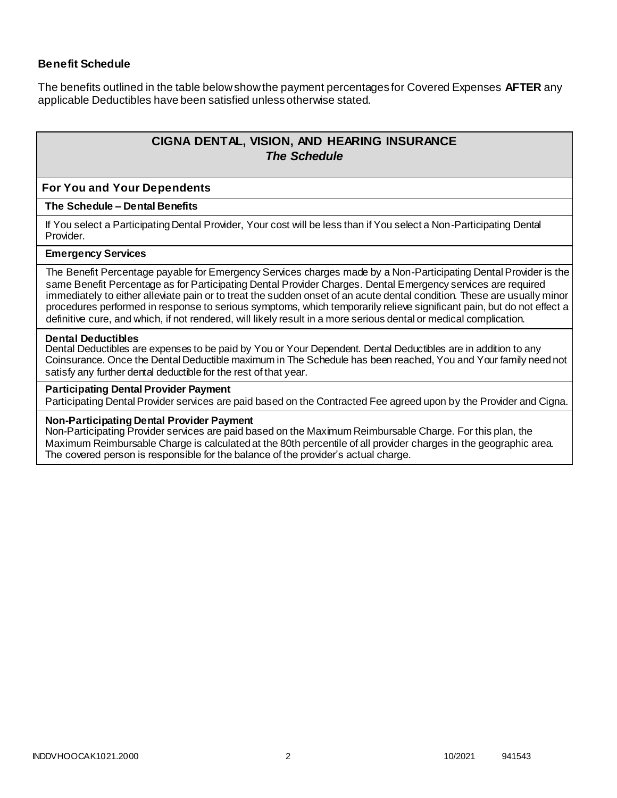# **Benefit Schedule**

The benefits outlined in the table below show the payment percentages for Covered Expenses **AFTER** any applicable Deductibles have been satisfied unless otherwise stated.

# **CIGNA DENTAL, VISION, AND HEARING INSURANCE** *The Schedule*

#### **For You and Your Dependents**

#### **The Schedule – Dental Benefits**

If You select a Participating Dental Provider, Your cost will be less than if You select a Non-Participating Dental Provider.

#### **Emergency Services**

The Benefit Percentage payable for Emergency Services charges made by a Non-Participating Dental Provider is the same Benefit Percentage as for Participating Dental Provider Charges. Dental Emergency services are required immediately to either alleviate pain or to treat the sudden onset of an acute dental condition. These are usually minor procedures performed in response to serious symptoms, which temporarily relieve significant pain, but do not effect a definitive cure, and which, if not rendered, will likely result in a more serious dental or medical complication.

#### **Dental Deductibles**

Dental Deductibles are expenses to be paid by You or Your Dependent. Dental Deductibles are in addition to any Coinsurance. Once the Dental Deductible maximum in The Schedule has been reached, You and Your family need not satisfy any further dental deductible for the rest of that year.

#### **Participating Dental Provider Payment**

Participating Dental Provider services are paid based on the Contracted Fee agreed upon by the Provider and Cigna.

#### **Non-Participating Dental Provider Payment**

Non-Participating Provider services are paid based on the Maximum Reimbursable Charge. For this plan, the Maximum Reimbursable Charge is calculated at the 80th percentile of all provider charges in the geographic area. The covered person is responsible for the balance of the provider's actual charge.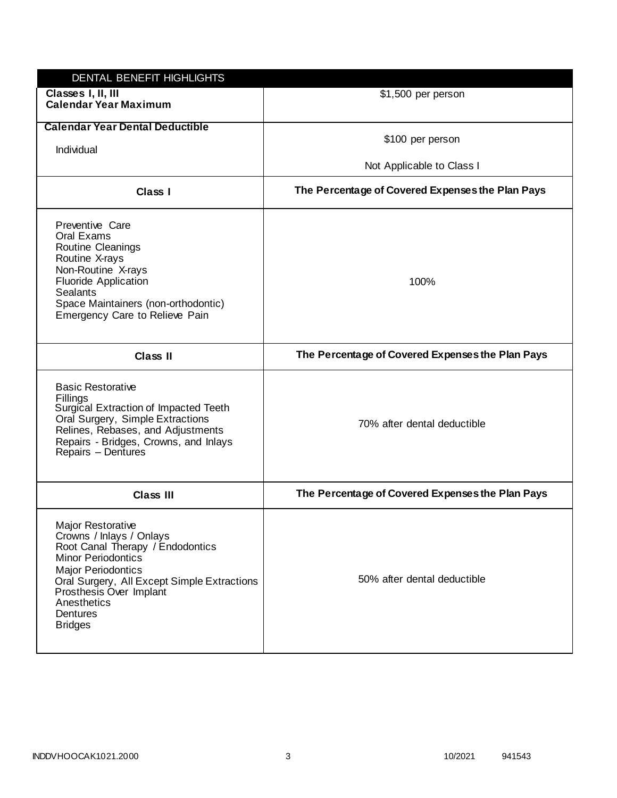| DENTAL BENEFIT HIGHLIGHTS                                                                                                                                                                                                                                                 |                                                  |
|---------------------------------------------------------------------------------------------------------------------------------------------------------------------------------------------------------------------------------------------------------------------------|--------------------------------------------------|
| Classes I, II, III<br><b>Calendar Year Maximum</b>                                                                                                                                                                                                                        | \$1,500 per person                               |
| <b>Calendar Year Dental Deductible</b><br>Individual                                                                                                                                                                                                                      | \$100 per person<br>Not Applicable to Class I    |
| Class I                                                                                                                                                                                                                                                                   | The Percentage of Covered Expenses the Plan Pays |
| Preventive Care<br>Oral Exams<br>Routine Cleanings<br>Routine X-rays<br>Non-Routine X-rays<br><b>Fluoride Application</b><br><b>Sealants</b><br>Space Maintainers (non-orthodontic)<br>Emergency Care to Relieve Pain                                                     | 100%                                             |
| Class II                                                                                                                                                                                                                                                                  | The Percentage of Covered Expenses the Plan Pays |
| <b>Basic Restorative</b><br>Fillings<br>Surgical Extraction of Impacted Teeth<br>Oral Surgery, Simple Extractions<br>Relines, Rebases, and Adjustments<br>Repairs - Bridges, Crowns, and Inlays<br>Repairs - Dentures                                                     | 70% after dental deductible                      |
| <b>Class III</b>                                                                                                                                                                                                                                                          | The Percentage of Covered Expenses the Plan Pays |
| <b>Major Restorative</b><br>Crowns / Inlays / Onlays<br>Root Canal Therapy / Endodontics<br><b>Minor Periodontics</b><br><b>Major Periodontics</b><br>Oral Surgery, All Except Simple Extractions<br>Prosthesis Over Implant<br>Anesthetics<br>Dentures<br><b>Bridges</b> | 50% after dental deductible                      |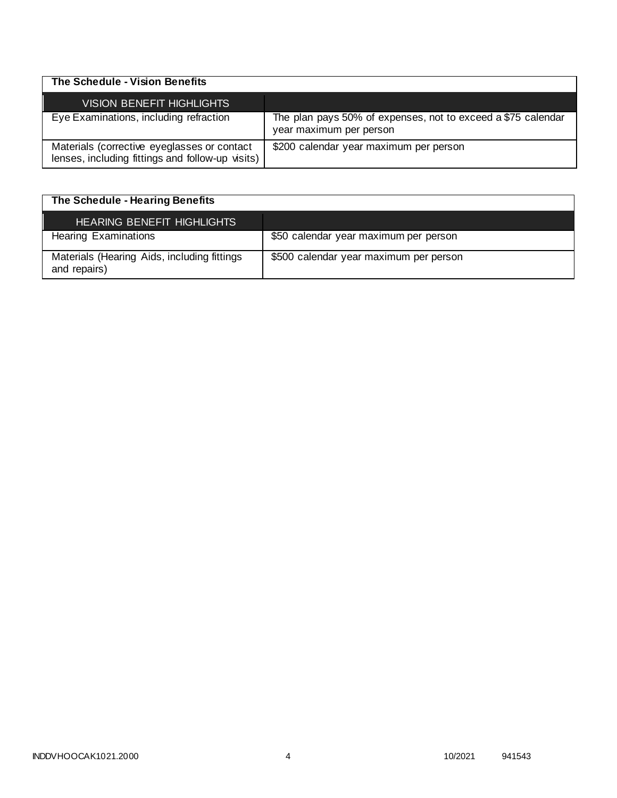| The Schedule - Vision Benefits                                                                  |                                                                                         |
|-------------------------------------------------------------------------------------------------|-----------------------------------------------------------------------------------------|
| <b>VISION BENEFIT HIGHLIGHTS</b>                                                                |                                                                                         |
| Eye Examinations, including refraction                                                          | The plan pays 50% of expenses, not to exceed a \$75 calendar<br>year maximum per person |
| Materials (corrective eyeglasses or contact<br>lenses, including fittings and follow-up visits) | \$200 calendar year maximum per person                                                  |

| The Schedule - Hearing Benefits                             |                                        |
|-------------------------------------------------------------|----------------------------------------|
| <b>HEARING BENEFIT HIGHLIGHTS</b>                           |                                        |
| <b>Hearing Examinations</b>                                 | \$50 calendar year maximum per person  |
| Materials (Hearing Aids, including fittings<br>and repairs) | \$500 calendar year maximum per person |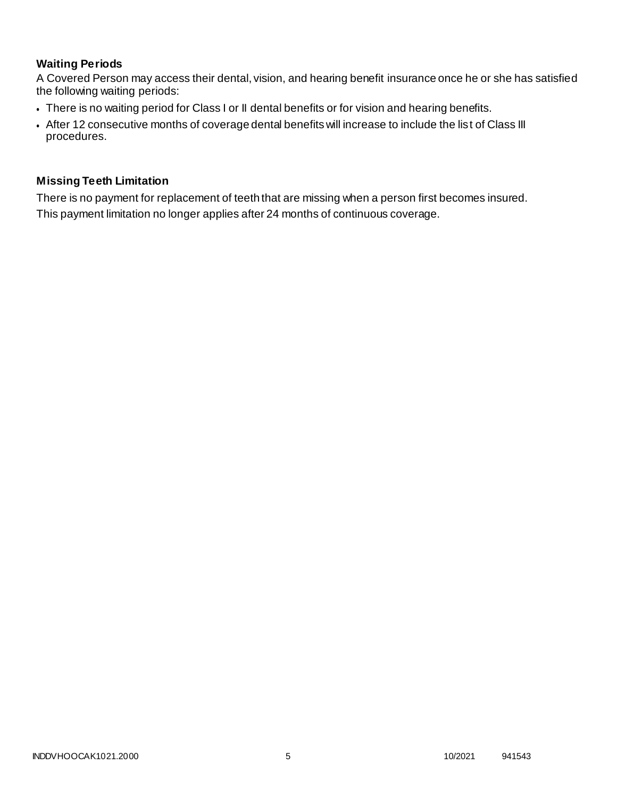# **Waiting Periods**

A Covered Person may access their dental, vision, and hearing benefit insurance once he or she has satisfied the following waiting periods:

- There is no waiting period for Class I or II dental benefits or for vision and hearing benefits.
- After 12 consecutive months of coverage dental benefits will increase to include the list of Class III procedures.

# **Missing Teeth Limitation**

There is no payment for replacement of teeth that are missing when a person first becomes insured. This payment limitation no longer applies after 24 months of continuous coverage.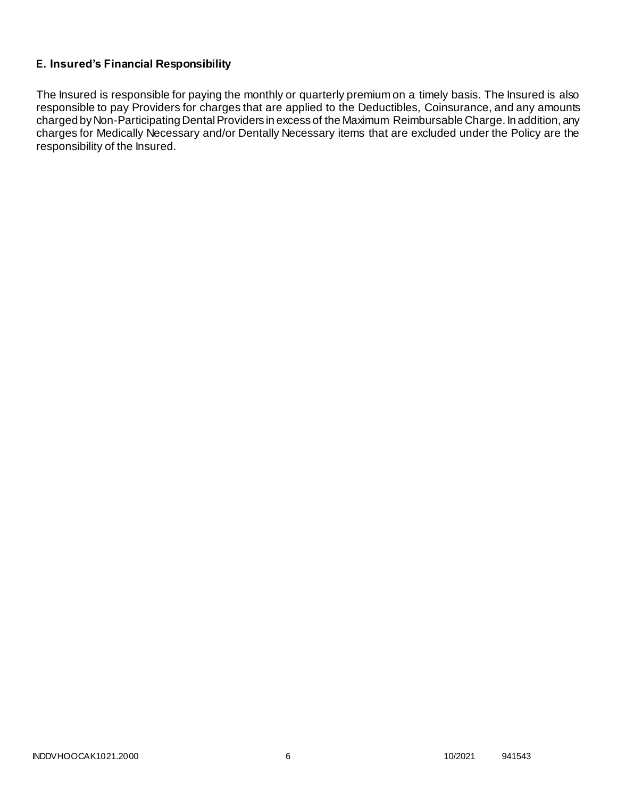# **E. Insured's Financial Responsibility**

The Insured is responsible for paying the monthly or quarterly premium on a timely basis. The Insured is also responsible to pay Providers for charges that are applied to the Deductibles, Coinsurance, and any amounts charged by Non-Participating Dental Providers in excess of the Maximum Reimbursable Charge. In addition, any charges for Medically Necessary and/or Dentally Necessary items that are excluded under the Policy are the responsibility of the Insured.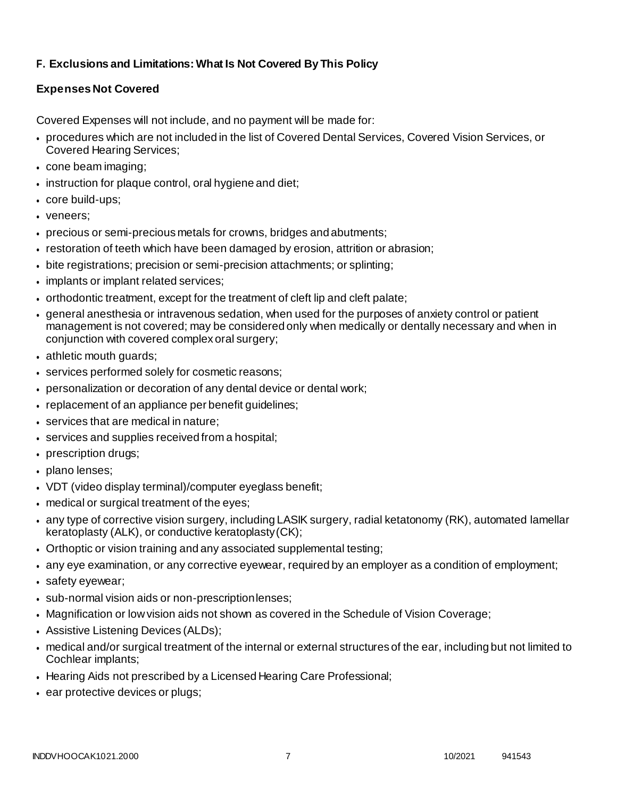# **F. Exclusions and Limitations: What Is Not Covered By This Policy**

# **Expenses Not Covered**

Covered Expenses will not include, and no payment will be made for:

- procedures which are not included in the list of Covered Dental Services, Covered Vision Services, or Covered Hearing Services;
- cone beam imaging;
- $\bullet$  instruction for plaque control, oral hygiene and diet;
- core build-ups;
- veneers:
- precious or semi-precious metals for crowns, bridges andabutments;
- restoration of teeth which have been damaged by erosion, attrition or abrasion;
- bite registrations; precision or semi-precision attachments; or splinting;
- implants or implant related services;
- orthodontic treatment, except for the treatment of cleft lip and cleft palate;
- general anesthesia or intravenous sedation, when used for the purposes of anxiety control or patient management is not covered; may be considered only when medically or dentally necessary and when in conjunction with covered complex oral surgery;
- athletic mouth guards;
- services performed solely for cosmetic reasons;
- personalization or decoration of any dental device or dental work;
- replacement of an appliance per benefit quidelines;
- services that are medical in nature;
- services and supplies received from a hospital;
- prescription drugs;
- plano lenses;
- VDT (video display terminal)/computer eyeglass benefit;
- medical or surgical treatment of the eyes;
- any type of corrective vision surgery, including LASIK surgery, radial ketatonomy (RK), automated lamellar keratoplasty (ALK), or conductive keratoplasty(CK);
- Orthoptic or vision training and any associated supplemental testing;
- any eye examination, or any corrective eyewear, required by an employer as a condition of employment;
- safety eyewear;
- sub-normal vision aids or non-prescriptionlenses;
- Magnification or low vision aids not shown as covered in the Schedule of Vision Coverage;
- Assistive Listening Devices (ALDs);
- medical and/or surgical treatment of the internal or external structures of the ear, including but not limited to Cochlear implants;
- Hearing Aids not prescribed by a Licensed Hearing Care Professional;
- ear protective devices or plugs;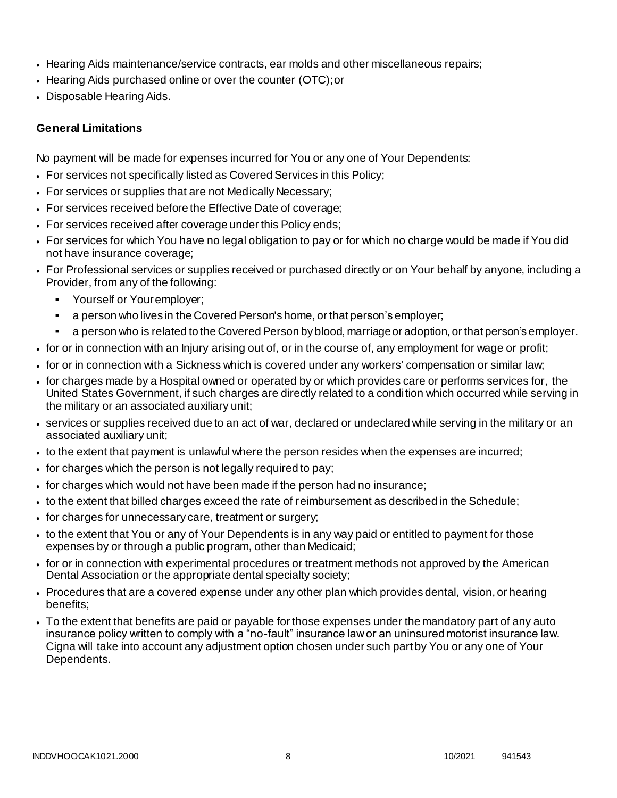- Hearing Aids maintenance/service contracts, ear molds and other miscellaneous repairs;
- Hearing Aids purchased online or over the counter (OTC);or
- Disposable Hearing Aids.

# **General Limitations**

No payment will be made for expenses incurred for You or any one of Your Dependents:

- For services not specifically listed as Covered Services in this Policy;
- For services or supplies that are not Medically Necessary;
- For services received before the Effective Date of coverage;
- For services received after coverage under this Policy ends;
- For services for which You have no legal obligation to pay or for which no charge would be made if You did not have insurance coverage;
- For Professional services or supplies received or purchased directly or on Your behalf by anyone, including a Provider, from any of the following:
	- Yourself or Youremployer;
	- a person who lives in the Covered Person's home, or that person's employer;
	- a person who is related to the Covered Person by blood, marriage or adoption, or that person's employer.
- for or in connection with an Injury arising out of, or in the course of, any employment for wage or profit;
- for or in connection with a Sickness which is covered under any workers' compensation or similar law;
- for charges made by a Hospital owned or operated by or which provides care or performs services for, the United States Government, if such charges are directly related to a condition which occurred while serving in the military or an associated auxiliary unit;
- services or supplies received due to an act of war, declared or undeclared while serving in the military or an associated auxiliary unit;
- to the extent that payment is unlawful where the person resides when the expenses are incurred;
- for charges which the person is not legally required to pay;
- for charges which would not have been made if the person had no insurance;
- to the extent that billed charges exceed the rate of reimbursement as described in the Schedule;
- for charges for unnecessary care, treatment or surgery;
- to the extent that You or any of Your Dependents is in any way paid or entitled to payment for those expenses by or through a public program, other than Medicaid;
- for or in connection with experimental procedures or treatment methods not approved by the American Dental Association or the appropriate dental specialty society;
- Procedures that are a covered expense under any other plan which provides dental, vision, or hearing benefits;
- To the extent that benefits are paid or payable for those expenses under the mandatory part of any auto insurance policy written to comply with a "no-fault" insurance law or an uninsured motorist insurance law. Cigna will take into account any adjustment option chosen under such part by You or any one of Your Dependents.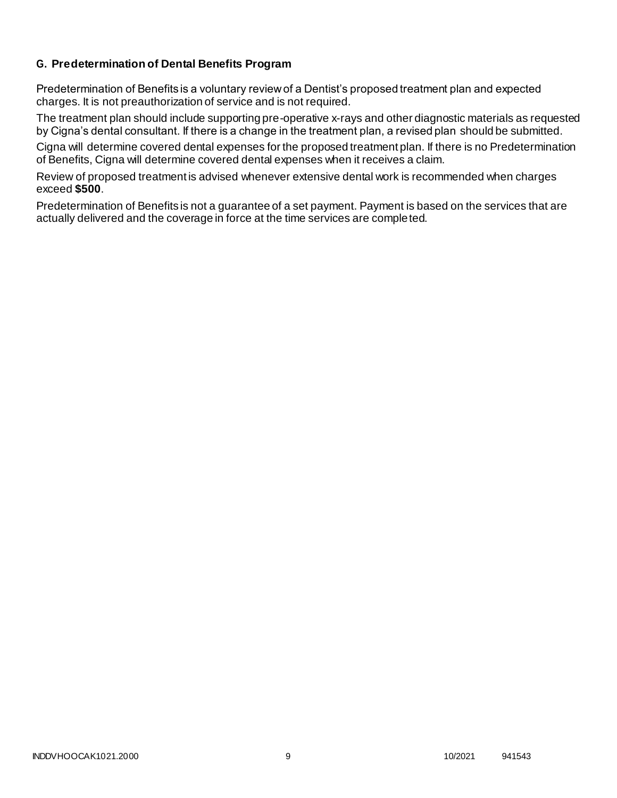# **G. Predetermination of Dental Benefits Program**

Predetermination of Benefits is a voluntary review of a Dentist's proposed treatment plan and expected charges. It is not preauthorization of service and is not required.

The treatment plan should include supporting pre-operative x-rays and other diagnostic materials as requested by Cigna's dental consultant. If there is a change in the treatment plan, a revised plan should be submitted.

Cigna will determine covered dental expenses for the proposed treatment plan. If there is no Predetermination of Benefits, Cigna will determine covered dental expenses when it receives a claim.

Review of proposed treatment is advised whenever extensive dental work is recommended when charges exceed **\$500**.

Predetermination of Benefits is not a guarantee of a set payment. Payment is based on the services that are actually delivered and the coverage in force at the time services are completed.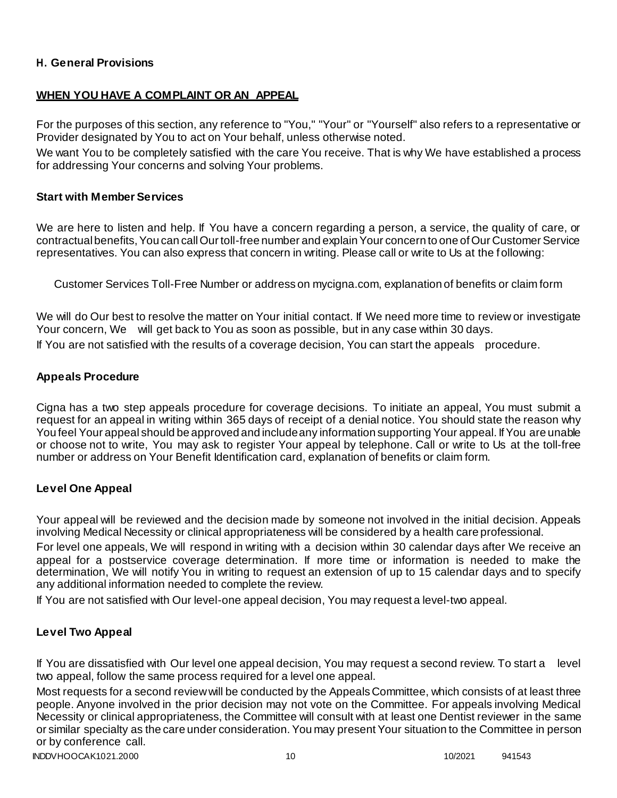# **H. General Provisions**

# **WHEN YOU HAVE A COMPLAINT OR AN APPEAL**

For the purposes of this section, any reference to "You," "Your" or "Yourself" also refers to a representative or Provider designated by You to act on Your behalf, unless otherwise noted.

We want You to be completely satisfied with the care You receive. That is why We have established a process for addressing Your concerns and solving Your problems.

### **Start with Member Services**

We are here to listen and help. If You have a concern regarding a person, a service, the quality of care, or contractual benefits, You can call Our toll-free number and explain Your concern to one of Our Customer Service representatives. You can also express that concern in writing. Please call or write to Us at the following:

Customer Services Toll-Free Number or address on mycigna.com, explanation of benefits or claim form

We will do Our best to resolve the matter on Your initial contact. If We need more time to review or investigate Your concern, We will get back to You as soon as possible, but in any case within 30 days. If You are not satisfied with the results of a coverage decision, You can start the appeals procedure.

### **Appeals Procedure**

Cigna has a two step appeals procedure for coverage decisions. To initiate an appeal, You must submit a request for an appeal in writing within 365 days of receipt of a denial notice. You should state the reason why You feel Your appeal should be approved and include any information supporting Your appeal. If You are unable or choose not to write, You may ask to register Your appeal by telephone. Call or write to Us at the toll-free number or address on Your Benefit Identification card, explanation of benefits or claim form.

### **Level One Appeal**

Your appeal will be reviewed and the decision made by someone not involved in the initial decision. Appeals involving Medical Necessity or clinical appropriateness will be considered by a health care professional.

For level one appeals, We will respond in writing with a decision within 30 calendar days after We receive an appeal for a postservice coverage determination. If more time or information is needed to make the determination, We will notify You in writing to request an extension of up to 15 calendar days and to specify any additional information needed to complete the review.

If You are not satisfied with Our level-one appeal decision, You may request a level-two appeal.

### **Level Two Appeal**

If You are dissatisfied with Our level one appeal decision, You may request a second review. To start a level two appeal, follow the same process required for a level one appeal.

Most requests for a second review will be conducted by the Appeals Committee, which consists of at least three people. Anyone involved in the prior decision may not vote on the Committee. For appeals involving Medical Necessity or clinical appropriateness, the Committee will consult with at least one Dentist reviewer in the same or similar specialty as the care under consideration. You may present Your situation to the Committee in person or by conference call.

INDDVHOOCAK1021.2000 10 10/2021 941543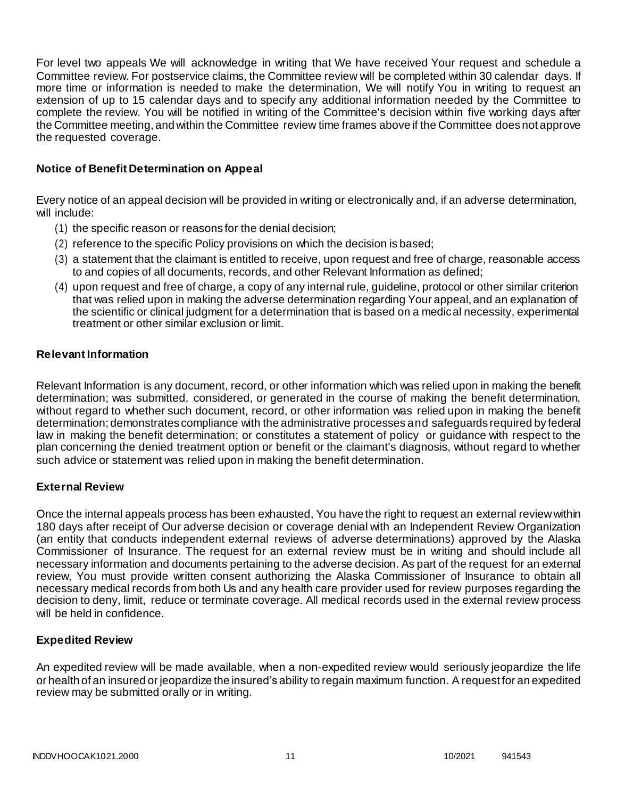For level two appeals We will acknowledge in writing that We have received Your request and schedule a Committee review. For postservice claims, the Committee review will be completed within 30 calendar days. If more time or information is needed to make the determination, We will notify You in writing to request an extension of up to 15 calendar days and to specify any additional information needed by the Committee to complete the review. You will be notified in writing of the Committee's decision within five working days after the Committee meeting, and within the Committee review time frames above if the Committee does not approve the requested coverage.

# **Notice of Benefit Determination on Appeal**

Every notice of an appeal decision will be provided in writing or electronically and, if an adverse determination, will include:

- (1) the specific reason or reasons for the denial decision;
- (2) reference to the specific Policy provisions on which the decision is based;
- (3) a statement that the claimant is entitled to receive, upon request and free of charge, reasonable access to and copies of all documents, records, and other Relevant Information as defined;
- (4) upon request and free of charge, a copy of any internal rule, guideline, protocol or other similar criterion that was relied upon in making the adverse determination regarding Your appeal, and an explanation of the scientific or clinical judgment for a determination that is based on a medical necessity, experimental treatment or other similar exclusion or limit.

### **Relevant Information**

Relevant Information is any document, record, or other information which was relied upon in making the benefit determination; was submitted, considered, or generated in the course of making the benefit determination, without regard to whether such document, record, or other information was relied upon in making the benefit determination; demonstrates compliance with the administrative processes and safeguards required by federal law in making the benefit determination; or constitutes a statement of policy or guidance with respect to the plan concerning the denied treatment option or benefit or the claimant's diagnosis, without regard to whether such advice or statement was relied upon in making the benefit determination.

### **External Review**

Once the internal appeals process has been exhausted, You have the right to request an external review within 180 days after receipt of Our adverse decision or coverage denial with an Independent Review Organization (an entity that conducts independent external reviews of adverse determinations) approved by the Alaska Commissioner of Insurance. The request for an external review must be in writing and should include all necessary information and documents pertaining to the adverse decision. As part of the request for an external review, You must provide written consent authorizing the Alaska Commissioner of Insurance to obtain all necessary medical records from both Us and any health care provider used for review purposes regarding the decision to deny, limit, reduce or terminate coverage. All medical records used in the external review process will be held in confidence.

### **Expedited Review**

An expedited review will be made available, when a non-expedited review would seriously jeopardize the life or health of an insured or jeopardize the insured's ability to regain maximum function. A request for an expedited review may be submitted orally or in writing.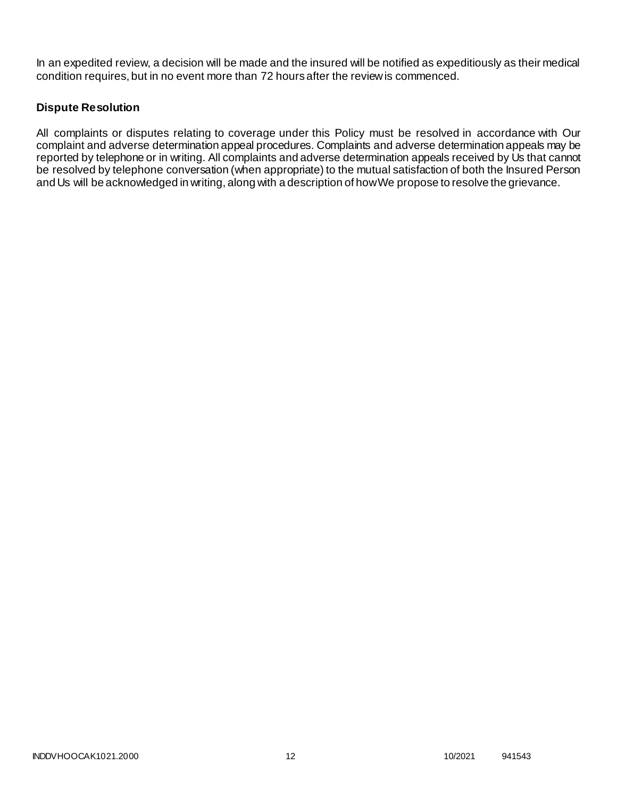In an expedited review, a decision will be made and the insured will be notified as expeditiously as their medical condition requires, but in no event more than 72 hours after the review is commenced.

# **Dispute Resolution**

All complaints or disputes relating to coverage under this Policy must be resolved in accordance with Our complaint and adverse determination appeal procedures. Complaints and adverse determination appeals may be reported by telephone or in writing. All complaints and adverse determination appeals received by Us that cannot be resolved by telephone conversation (when appropriate) to the mutual satisfaction of both the Insured Person and Us will be acknowledged in writing, along with a description of howWe propose to resolve the grievance.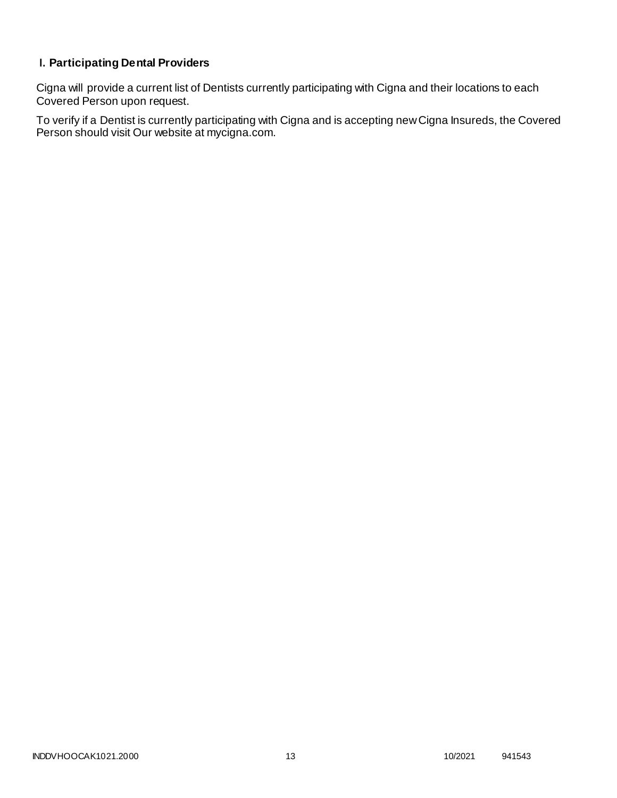# **I. Participating Dental Providers**

Cigna will provide a current list of Dentists currently participating with Cigna and their locations to each Covered Person upon request.

To verify if a Dentist is currently participating with Cigna and is accepting new Cigna Insureds, the Covered Person should visit Our website at mycigna.com.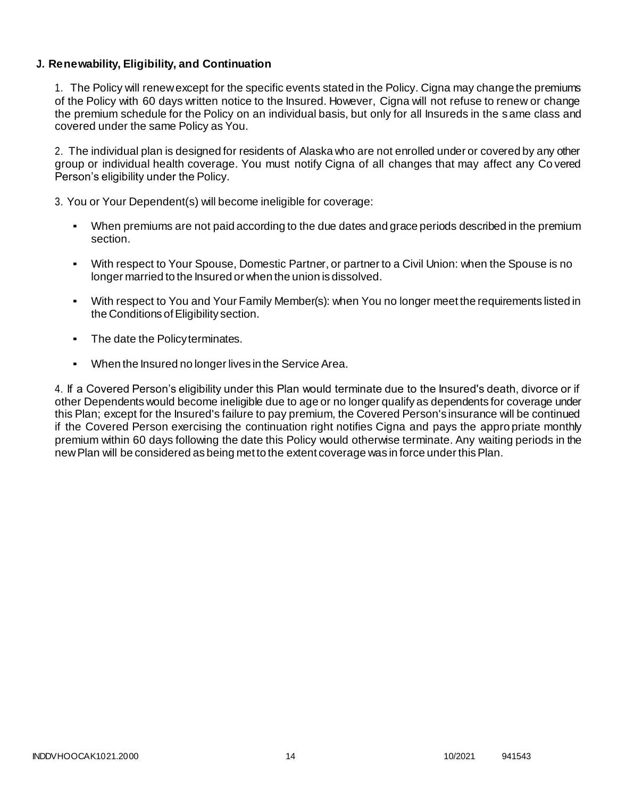# **J. Renewability, Eligibility, and Continuation**

1. The Policy will renew except for the specific events stated in the Policy. Cigna may change the premiums of the Policy with 60 days written notice to the Insured. However, Cigna will not refuse to renew or change the premium schedule for the Policy on an individual basis, but only for all Insureds in the same class and covered under the same Policy as You.

2. The individual plan is designed for residents of Alaska who are not enrolled under or covered by any other group or individual health coverage. You must notify Cigna of all changes that may affect any Co vered Person's eligibility under the Policy.

3. You or Your Dependent(s) will become ineligible for coverage:

- When premiums are not paid according to the due dates and grace periods described in the premium section.
- With respect to Your Spouse, Domestic Partner, or partner to a Civil Union: when the Spouse is no longer married to the Insured or when the union is dissolved.
- With respect to You and Your Family Member(s): when You no longer meet the requirements listed in the Conditions of Eligibility section.
- The date the Policy terminates.
- When the Insured no longer lives in the Service Area.

4. If a Covered Person's eligibility under this Plan would terminate due to the Insured's death, divorce or if other Dependents would become ineligible due to age or no longer qualify as dependents for coverage under this Plan; except for the Insured's failure to pay premium, the Covered Person's insurance will be continued if the Covered Person exercising the continuation right notifies Cigna and pays the appro priate monthly premium within 60 days following the date this Policy would otherwise terminate. Any waiting periods in the newPlan will be considered as being met to the extent coverage was in force under thisPlan.